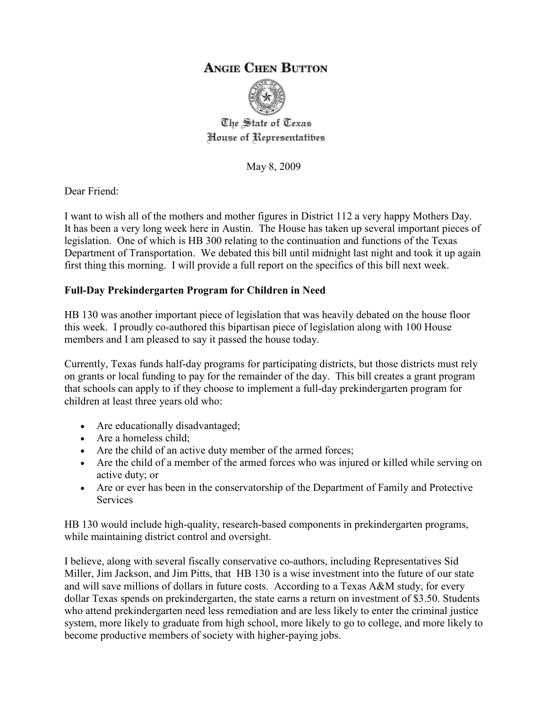## **ANGIE CHEN BUTTON**



The State of Texas House of Representatibes

May 8, 2009

Dear Friend:

I want to wish all of the mothers and mother figures in District 112 a very happy Mothers Day. It has been a very long week here in Austin. The House has taken up several important pieces of legislation. One of which is HB 300 relating to the continuation and functions of the Texas Department of Transportation. We debated this bill until midnight last night and took it up again first thing this morning. I will provide a full report on the specifics of this bill next week.

## **Full-Day Prekindergarten Program for Children in Need**

HB 130 was another important piece of legislation that was heavily debated on the house floor this week. I proudly co-authored this bipartisan piece of legislation along with 100 House members and I am pleased to say it passed the house today.

Currently, Texas funds half-day programs for participating districts, but those districts must rely on grants or local funding to pay for the remainder of the day. This bill creates a grant program that schools can apply to if they choose to implement a full-day prekindergarten program for children at least three years old who:

- Are educationally disadvantaged;
- Are a homeless child;
- Are the child of an active duty member of the armed forces;
- Are the child of a member of the armed forces who was injured or killed while serving on active duty; or
- Are or ever has been in the conservatorship of the Department of Family and Protective Services

HB 130 would include high-quality, research-based components in prekindergarten programs, while maintaining district control and oversight.

I believe, along with several fiscally conservative co-authors, including Representatives Sid Miller, Jim Jackson, and Jim Pitts, that HB 130 is a wise investment into the future of our state and will save millions of dollars in future costs. According to a Texas A&M study, for every dollar Texas spends on prekindergarten, the state earns a return on investment of \$3.50. Students who attend prekindergarten need less remediation and are less likely to enter the criminal justice system, more likely to graduate from high school, more likely to go to college, and more likely to become productive members of society with higher-paying jobs.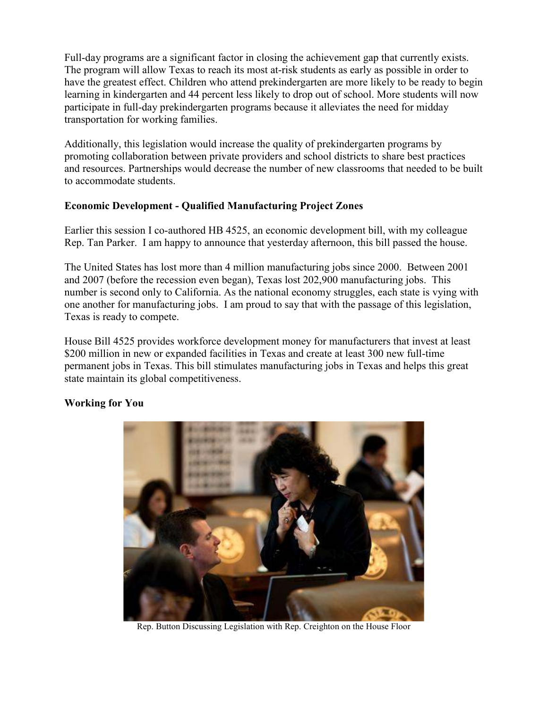Full-day programs are a significant factor in closing the achievement gap that currently exists. The program will allow Texas to reach its most at-risk students as early as possible in order to have the greatest effect. Children who attend prekindergarten are more likely to be ready to begin learning in kindergarten and 44 percent less likely to drop out of school. More students will now participate in full-day prekindergarten programs because it alleviates the need for midday transportation for working families.

Additionally, this legislation would increase the quality of prekindergarten programs by promoting collaboration between private providers and school districts to share best practices and resources. Partnerships would decrease the number of new classrooms that needed to be built to accommodate students.

## **Economic Development - Qualified Manufacturing Project Zones**

Earlier this session I co-authored HB 4525, an economic development bill, with my colleague Rep. Tan Parker. I am happy to announce that yesterday afternoon, this bill passed the house.

The United States has lost more than 4 million manufacturing jobs since 2000. Between 2001 and 2007 (before the recession even began), Texas lost 202,900 manufacturing jobs. This number is second only to California. As the national economy struggles, each state is vying with one another for manufacturing jobs. I am proud to say that with the passage of this legislation, Texas is ready to compete.

House Bill 4525 provides workforce development money for manufacturers that invest at least \$200 million in new or expanded facilities in Texas and create at least 300 new full-time permanent jobs in Texas. This bill stimulates manufacturing jobs in Texas and helps this great state maintain its global competitiveness.



## **Working for You**

Rep. Button Discussing Legislation with Rep. Creighton on the House Floor